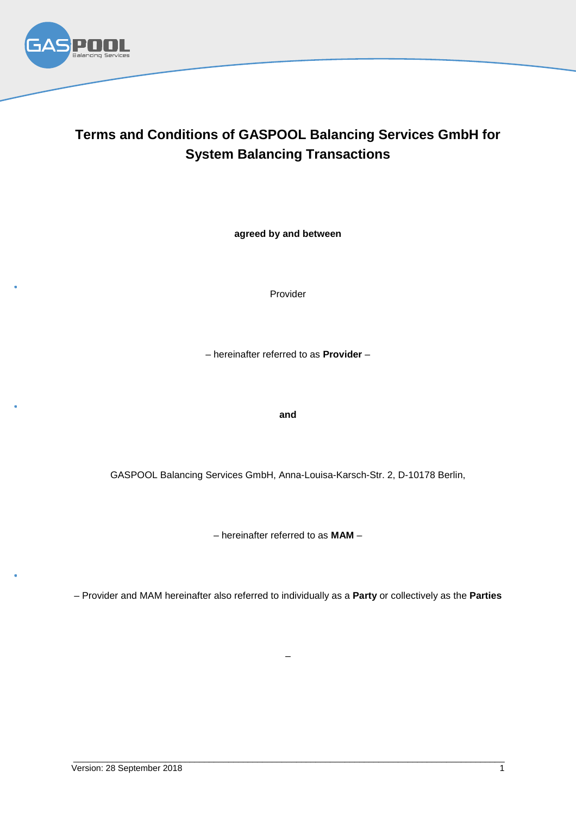

# **Terms and Conditions of GASPOOL Balancing Services GmbH for System Balancing Transactions**

**agreed by and between**

Provider

– hereinafter referred to as **Provider** –

#### **and**

GASPOOL Balancing Services GmbH, Anna-Louisa-Karsch-Str. 2, D-10178 Berlin,

– hereinafter referred to as **MAM** –

– Provider and MAM hereinafter also referred to individually as a **Party** or collectively as the **Parties**

–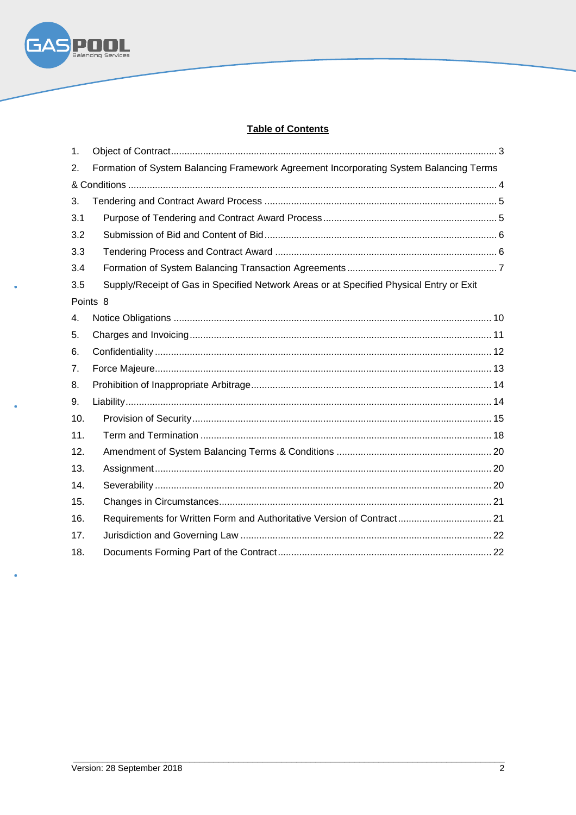

# **Table of Contents**

| 1.                  |                                                                                         |
|---------------------|-----------------------------------------------------------------------------------------|
| 2.                  | Formation of System Balancing Framework Agreement Incorporating System Balancing Terms  |
|                     |                                                                                         |
| 3.                  |                                                                                         |
| 3.1                 |                                                                                         |
| 3.2                 |                                                                                         |
| 3.3                 |                                                                                         |
| 3.4                 |                                                                                         |
| 3.5                 | Supply/Receipt of Gas in Specified Network Areas or at Specified Physical Entry or Exit |
| Points <sub>8</sub> |                                                                                         |
| 4.                  |                                                                                         |
| 5.                  |                                                                                         |
| 6.                  |                                                                                         |
| 7 <sub>1</sub>      |                                                                                         |
| 8.                  |                                                                                         |
| 9.                  |                                                                                         |
| 10.                 |                                                                                         |
| 11.                 |                                                                                         |
| 12.                 |                                                                                         |
| 13.                 |                                                                                         |
| 14.                 |                                                                                         |
| 15.                 |                                                                                         |
| 16.                 | Requirements for Written Form and Authoritative Version of Contract 21                  |
| 17.                 |                                                                                         |
| 18.                 |                                                                                         |

ż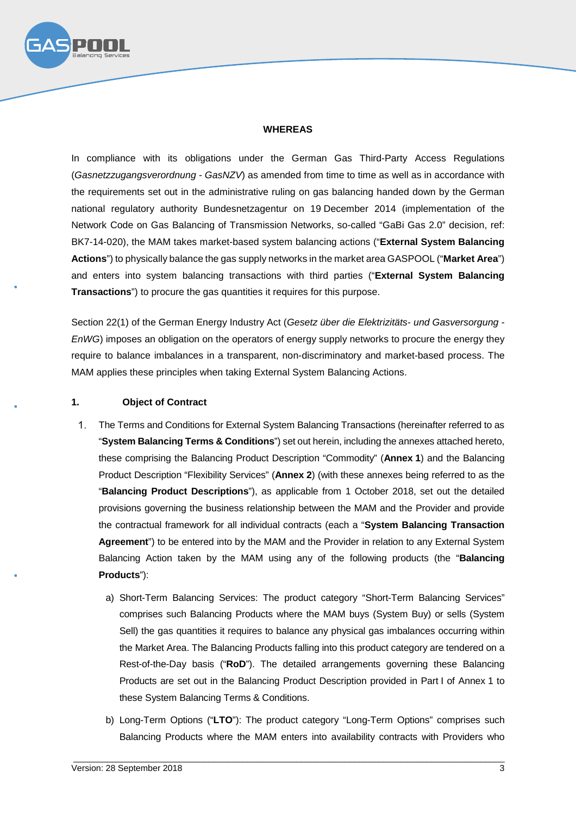

#### **WHEREAS**

In compliance with its obligations under the German Gas Third-Party Access Regulations (*Gasnetzzugangsverordnung - GasNZV*) as amended from time to time as well as in accordance with the requirements set out in the administrative ruling on gas balancing handed down by the German national regulatory authority Bundesnetzagentur on 19 December 2014 (implementation of the Network Code on Gas Balancing of Transmission Networks, so-called "GaBi Gas 2.0" decision, ref: BK7-14-020), the MAM takes market-based system balancing actions ("**External System Balancing Actions**") to physically balance the gas supply networks in the market area GASPOOL ("**Market Area**") and enters into system balancing transactions with third parties ("**External System Balancing Transactions**") to procure the gas quantities it requires for this purpose.

Section 22(1) of the German Energy Industry Act (*Gesetz über die Elektrizitäts- und Gasversorgung - EnWG*) imposes an obligation on the operators of energy supply networks to procure the energy they require to balance imbalances in a transparent, non-discriminatory and market-based process. The MAM applies these principles when taking External System Balancing Actions.

#### **1. Object of Contract**

- $1<sup>1</sup>$ The Terms and Conditions for External System Balancing Transactions (hereinafter referred to as "**System Balancing Terms & Conditions**") set out herein, including the annexes attached hereto, these comprising the Balancing Product Description "Commodity" (**Annex 1**) and the Balancing Product Description "Flexibility Services" (**Annex 2**) (with these annexes being referred to as the "**Balancing Product Descriptions**"), as applicable from 1 October 2018, set out the detailed provisions governing the business relationship between the MAM and the Provider and provide the contractual framework for all individual contracts (each a "**System Balancing Transaction Agreement**") to be entered into by the MAM and the Provider in relation to any External System Balancing Action taken by the MAM using any of the following products (the "**Balancing Products**"):
	- a) Short-Term Balancing Services: The product category "Short-Term Balancing Services" comprises such Balancing Products where the MAM buys (System Buy) or sells (System Sell) the gas quantities it requires to balance any physical gas imbalances occurring within the Market Area. The Balancing Products falling into this product category are tendered on a Rest-of-the-Day basis ("**RoD**"). The detailed arrangements governing these Balancing Products are set out in the Balancing Product Description provided in Part I of Annex 1 to these System Balancing Terms & Conditions.
	- b) Long-Term Options ("**LTO**"): The product category "Long-Term Options" comprises such Balancing Products where the MAM enters into availability contracts with Providers who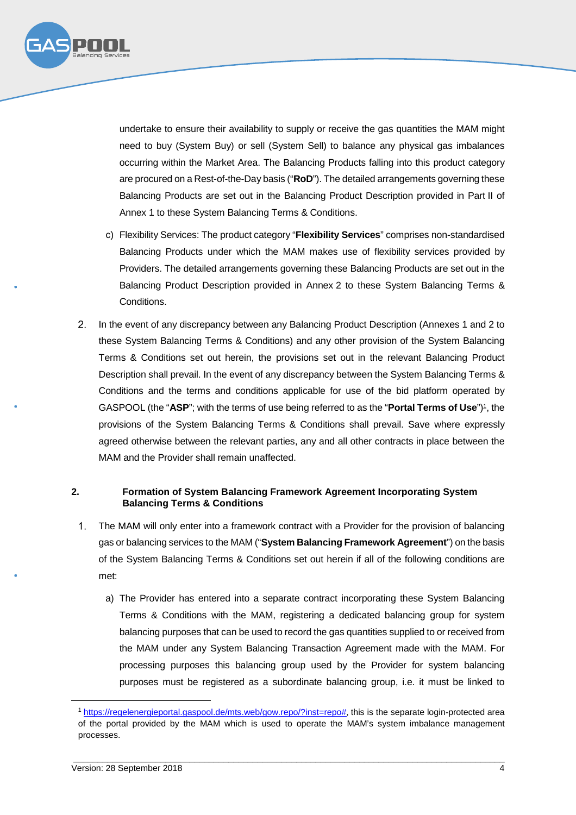

undertake to ensure their availability to supply or receive the gas quantities the MAM might need to buy (System Buy) or sell (System Sell) to balance any physical gas imbalances occurring within the Market Area. The Balancing Products falling into this product category are procured on a Rest-of-the-Day basis ("**RoD**"). The detailed arrangements governing these Balancing Products are set out in the Balancing Product Description provided in Part II of Annex 1 to these System Balancing Terms & Conditions.

- c) Flexibility Services: The product category "**Flexibility Services**" comprises non-standardised Balancing Products under which the MAM makes use of flexibility services provided by Providers. The detailed arrangements governing these Balancing Products are set out in the Balancing Product Description provided in Annex 2 to these System Balancing Terms & Conditions.
- $2<sup>1</sup>$ In the event of any discrepancy between any Balancing Product Description (Annexes 1 and 2 to these System Balancing Terms & Conditions) and any other provision of the System Balancing Terms & Conditions set out herein, the provisions set out in the relevant Balancing Product Description shall prevail. In the event of any discrepancy between the System Balancing Terms & Conditions and the terms and conditions applicable for use of the bid platform operated by GASPOOL (the "**ASP**"; with the terms of use being referred to as the "**Portal Terms of Use**")<sup>1</sup>, the provisions of the System Balancing Terms & Conditions shall prevail. Save where expressly agreed otherwise between the relevant parties, any and all other contracts in place between the MAM and the Provider shall remain unaffected.

# **2. Formation of System Balancing Framework Agreement Incorporating System Balancing Terms & Conditions**

- The MAM will only enter into a framework contract with a Provider for the provision of balancing gas or balancing services to the MAM ("**System Balancing Framework Agreement**") on the basis of the System Balancing Terms & Conditions set out herein if all of the following conditions are met:
	- a) The Provider has entered into a separate contract incorporating these System Balancing Terms & Conditions with the MAM, registering a dedicated balancing group for system balancing purposes that can be used to record the gas quantities supplied to or received from the MAM under any System Balancing Transaction Agreement made with the MAM. For processing purposes this balancing group used by the Provider for system balancing purposes must be registered as a subordinate balancing group, i.e. it must be linked to

<sup>1</sup> https://regelenergieportal.gaspool.de/mts.web/gow.repo/?inst=repo#, this is the separate login-protected area of the portal provided by the MAM which is used to operate the MAM's system imbalance management processes.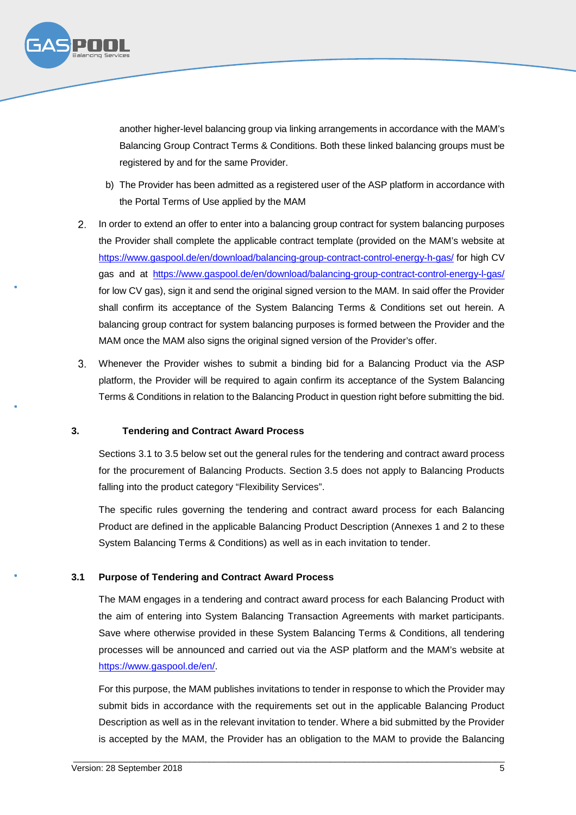

another higher-level balancing group via linking arrangements in accordance with the MAM's Balancing Group Contract Terms & Conditions. Both these linked balancing groups must be registered by and for the same Provider.

- b) The Provider has been admitted as a registered user of the ASP platform in accordance with the Portal Terms of Use applied by the MAM
- $2.$ In order to extend an offer to enter into a balancing group contract for system balancing purposes the Provider shall complete the applicable contract template (provided on the MAM's website at https://www.gaspool.de/en/download/balancing-group-contract-control-energy-h-gas/ for high CV gas and at https://www.gaspool.de/en/download/balancing-group-contract-control-energy-l-gas/ for low CV gas), sign it and send the original signed version to the MAM. In said offer the Provider shall confirm its acceptance of the System Balancing Terms & Conditions set out herein. A balancing group contract for system balancing purposes is formed between the Provider and the MAM once the MAM also signs the original signed version of the Provider's offer.
- $3.$ Whenever the Provider wishes to submit a binding bid for a Balancing Product via the ASP platform, the Provider will be required to again confirm its acceptance of the System Balancing Terms & Conditions in relation to the Balancing Product in question right before submitting the bid.

#### **3. Tendering and Contract Award Process**

Sections 3.1 to 3.5 below set out the general rules for the tendering and contract award process for the procurement of Balancing Products. Section 3.5 does not apply to Balancing Products falling into the product category "Flexibility Services".

The specific rules governing the tendering and contract award process for each Balancing Product are defined in the applicable Balancing Product Description (Annexes 1 and 2 to these System Balancing Terms & Conditions) as well as in each invitation to tender.

#### **3.1 Purpose of Tendering and Contract Award Process**

The MAM engages in a tendering and contract award process for each Balancing Product with the aim of entering into System Balancing Transaction Agreements with market participants. Save where otherwise provided in these System Balancing Terms & Conditions, all tendering processes will be announced and carried out via the ASP platform and the MAM's website at https://www.gaspool.de/en/.

For this purpose, the MAM publishes invitations to tender in response to which the Provider may submit bids in accordance with the requirements set out in the applicable Balancing Product Description as well as in the relevant invitation to tender. Where a bid submitted by the Provider is accepted by the MAM, the Provider has an obligation to the MAM to provide the Balancing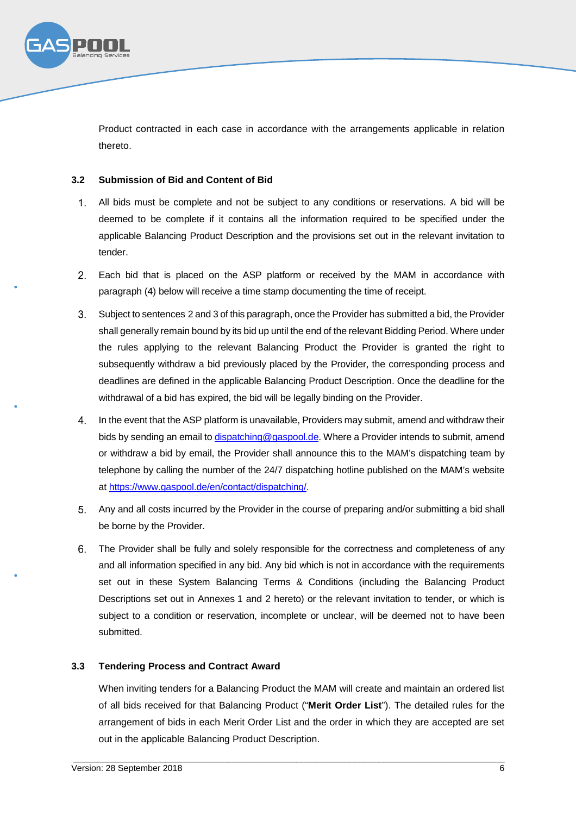

Product contracted in each case in accordance with the arrangements applicable in relation thereto.

# **3.2 Submission of Bid and Content of Bid**

- All bids must be complete and not be subject to any conditions or reservations. A bid will be  $1.$ deemed to be complete if it contains all the information required to be specified under the applicable Balancing Product Description and the provisions set out in the relevant invitation to tender.
- Each bid that is placed on the ASP platform or received by the MAM in accordance with paragraph (4) below will receive a time stamp documenting the time of receipt.
- Subject to sentences 2 and 3 of this paragraph, once the Provider has submitted a bid, the Provider shall generally remain bound by its bid up until the end of the relevant Bidding Period. Where under the rules applying to the relevant Balancing Product the Provider is granted the right to subsequently withdraw a bid previously placed by the Provider, the corresponding process and deadlines are defined in the applicable Balancing Product Description. Once the deadline for the withdrawal of a bid has expired, the bid will be legally binding on the Provider.
- In the event that the ASP platform is unavailable, Providers may submit, amend and withdraw their bids by sending an email to dispatching@gaspool.de. Where a Provider intends to submit, amend or withdraw a bid by email, the Provider shall announce this to the MAM's dispatching team by telephone by calling the number of the 24/7 dispatching hotline published on the MAM's website at https://www.gaspool.de/en/contact/dispatching/.
- Any and all costs incurred by the Provider in the course of preparing and/or submitting a bid shall be borne by the Provider.
- The Provider shall be fully and solely responsible for the correctness and completeness of any and all information specified in any bid. Any bid which is not in accordance with the requirements set out in these System Balancing Terms & Conditions (including the Balancing Product Descriptions set out in Annexes 1 and 2 hereto) or the relevant invitation to tender, or which is subject to a condition or reservation, incomplete or unclear, will be deemed not to have been submitted.

# **3.3 Tendering Process and Contract Award**

When inviting tenders for a Balancing Product the MAM will create and maintain an ordered list of all bids received for that Balancing Product ("**Merit Order List**"). The detailed rules for the arrangement of bids in each Merit Order List and the order in which they are accepted are set out in the applicable Balancing Product Description.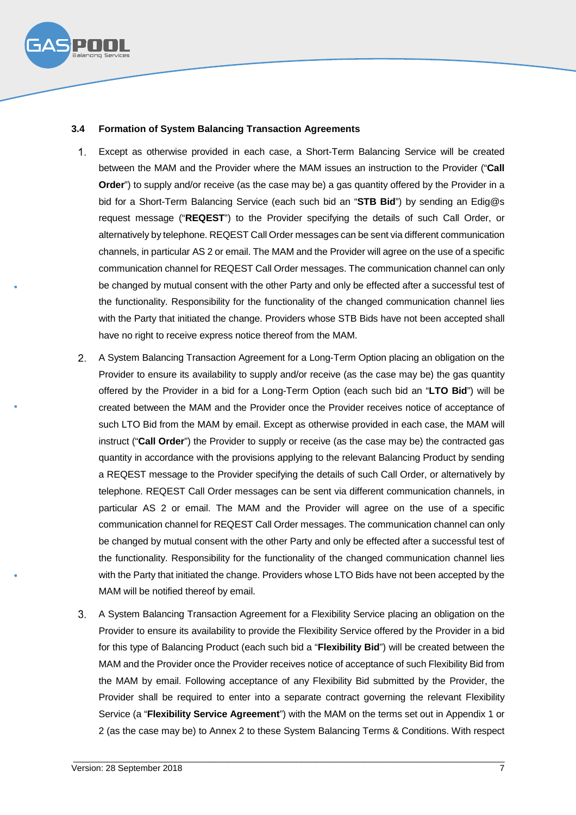

# **3.4 Formation of System Balancing Transaction Agreements**

- Except as otherwise provided in each case, a Short-Term Balancing Service will be created  $1<sup>1</sup>$ between the MAM and the Provider where the MAM issues an instruction to the Provider ("**Call Order**") to supply and/or receive (as the case may be) a gas quantity offered by the Provider in a bid for a Short-Term Balancing Service (each such bid an "**STB Bid**") by sending an Edig@s request message ("**REQEST**") to the Provider specifying the details of such Call Order, or alternatively by telephone. REQEST Call Order messages can be sent via different communication channels, in particular AS 2 or email. The MAM and the Provider will agree on the use of a specific communication channel for REQEST Call Order messages. The communication channel can only be changed by mutual consent with the other Party and only be effected after a successful test of the functionality. Responsibility for the functionality of the changed communication channel lies with the Party that initiated the change. Providers whose STB Bids have not been accepted shall have no right to receive express notice thereof from the MAM.
- A System Balancing Transaction Agreement for a Long-Term Option placing an obligation on the Provider to ensure its availability to supply and/or receive (as the case may be) the gas quantity offered by the Provider in a bid for a Long-Term Option (each such bid an "**LTO Bid**") will be created between the MAM and the Provider once the Provider receives notice of acceptance of such LTO Bid from the MAM by email. Except as otherwise provided in each case, the MAM will instruct ("**Call Order**") the Provider to supply or receive (as the case may be) the contracted gas quantity in accordance with the provisions applying to the relevant Balancing Product by sending a REQEST message to the Provider specifying the details of such Call Order, or alternatively by telephone. REQEST Call Order messages can be sent via different communication channels, in particular AS 2 or email. The MAM and the Provider will agree on the use of a specific communication channel for REQEST Call Order messages. The communication channel can only be changed by mutual consent with the other Party and only be effected after a successful test of the functionality. Responsibility for the functionality of the changed communication channel lies with the Party that initiated the change. Providers whose LTO Bids have not been accepted by the MAM will be notified thereof by email.
- A System Balancing Transaction Agreement for a Flexibility Service placing an obligation on the Provider to ensure its availability to provide the Flexibility Service offered by the Provider in a bid for this type of Balancing Product (each such bid a "**Flexibility Bid**") will be created between the MAM and the Provider once the Provider receives notice of acceptance of such Flexibility Bid from the MAM by email. Following acceptance of any Flexibility Bid submitted by the Provider, the Provider shall be required to enter into a separate contract governing the relevant Flexibility Service (a "**Flexibility Service Agreement**") with the MAM on the terms set out in Appendix 1 or 2 (as the case may be) to Annex 2 to these System Balancing Terms & Conditions. With respect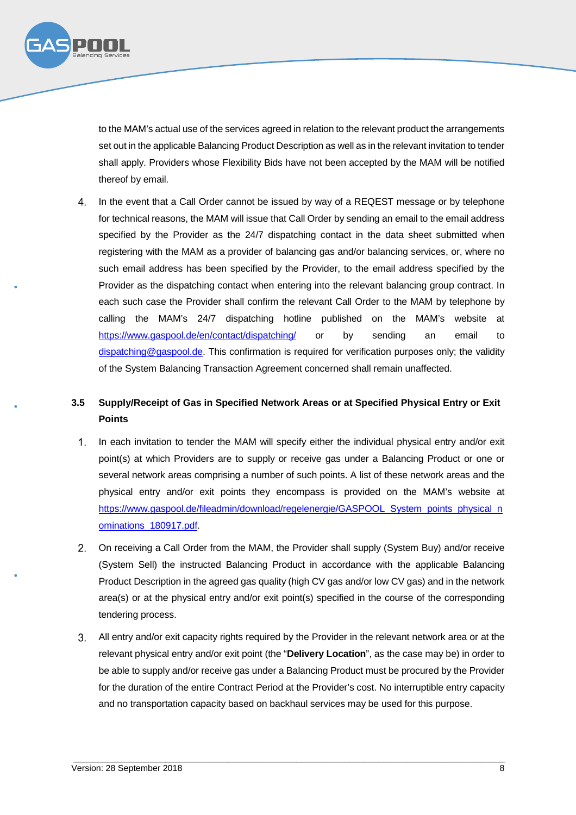

to the MAM's actual use of the services agreed in relation to the relevant product the arrangements set out in the applicable Balancing Product Description as well as in the relevant invitation to tender shall apply. Providers whose Flexibility Bids have not been accepted by the MAM will be notified thereof by email.

In the event that a Call Order cannot be issued by way of a REQEST message or by telephone  $4.$ for technical reasons, the MAM will issue that Call Order by sending an email to the email address specified by the Provider as the 24/7 dispatching contact in the data sheet submitted when registering with the MAM as a provider of balancing gas and/or balancing services, or, where no such email address has been specified by the Provider, to the email address specified by the Provider as the dispatching contact when entering into the relevant balancing group contract. In each such case the Provider shall confirm the relevant Call Order to the MAM by telephone by calling the MAM's 24/7 dispatching hotline published on the MAM's website at https://www.gaspool.de/en/contact/dispatching/ or by sending an email to dispatching@gaspool.de. This confirmation is required for verification purposes only; the validity of the System Balancing Transaction Agreement concerned shall remain unaffected.

# **3.5 Supply/Receipt of Gas in Specified Network Areas or at Specified Physical Entry or Exit Points**

- In each invitation to tender the MAM will specify either the individual physical entry and/or exit  $1.$ point(s) at which Providers are to supply or receive gas under a Balancing Product or one or several network areas comprising a number of such points. A list of these network areas and the physical entry and/or exit points they encompass is provided on the MAM's website at https://www.gaspool.de/fileadmin/download/regelenergie/GASPOOL\_System\_points\_physical\_n ominations\_180917.pdf.
- On receiving a Call Order from the MAM, the Provider shall supply (System Buy) and/or receive (System Sell) the instructed Balancing Product in accordance with the applicable Balancing Product Description in the agreed gas quality (high CV gas and/or low CV gas) and in the network area(s) or at the physical entry and/or exit point(s) specified in the course of the corresponding tendering process.
- All entry and/or exit capacity rights required by the Provider in the relevant network area or at the relevant physical entry and/or exit point (the "**Delivery Location**", as the case may be) in order to be able to supply and/or receive gas under a Balancing Product must be procured by the Provider for the duration of the entire Contract Period at the Provider's cost. No interruptible entry capacity and no transportation capacity based on backhaul services may be used for this purpose.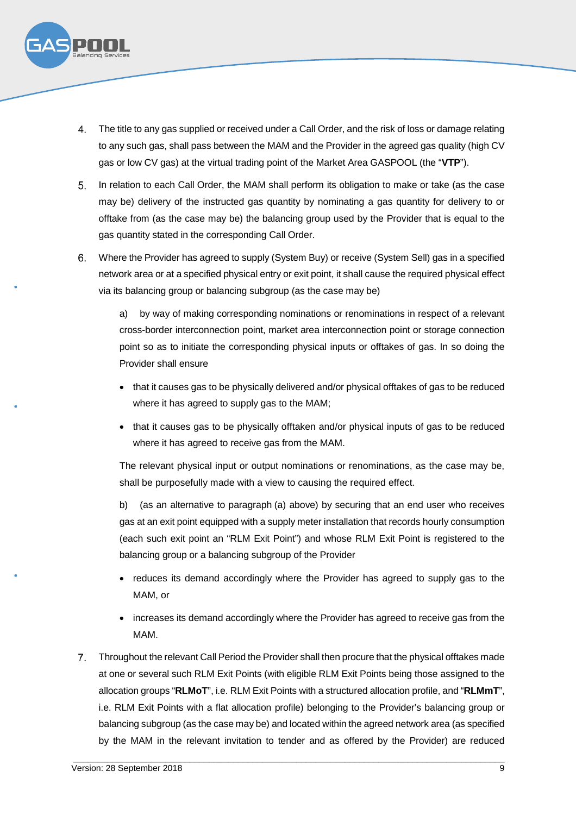

- The title to any gas supplied or received under a Call Order, and the risk of loss or damage relating to any such gas, shall pass between the MAM and the Provider in the agreed gas quality (high CV gas or low CV gas) at the virtual trading point of the Market Area GASPOOL (the "**VTP**").
- 5. In relation to each Call Order, the MAM shall perform its obligation to make or take (as the case may be) delivery of the instructed gas quantity by nominating a gas quantity for delivery to or offtake from (as the case may be) the balancing group used by the Provider that is equal to the gas quantity stated in the corresponding Call Order.
- Where the Provider has agreed to supply (System Buy) or receive (System Sell) gas in a specified network area or at a specified physical entry or exit point, it shall cause the required physical effect via its balancing group or balancing subgroup (as the case may be)

a) by way of making corresponding nominations or renominations in respect of a relevant cross-border interconnection point, market area interconnection point or storage connection point so as to initiate the corresponding physical inputs or offtakes of gas. In so doing the Provider shall ensure

- that it causes gas to be physically delivered and/or physical offtakes of gas to be reduced where it has agreed to supply gas to the MAM;
- that it causes gas to be physically offtaken and/or physical inputs of gas to be reduced where it has agreed to receive gas from the MAM.

The relevant physical input or output nominations or renominations, as the case may be, shall be purposefully made with a view to causing the required effect.

b) (as an alternative to paragraph (a) above) by securing that an end user who receives gas at an exit point equipped with a supply meter installation that records hourly consumption (each such exit point an "RLM Exit Point") and whose RLM Exit Point is registered to the balancing group or a balancing subgroup of the Provider

- reduces its demand accordingly where the Provider has agreed to supply gas to the MAM, or
- increases its demand accordingly where the Provider has agreed to receive gas from the MAM.
- Throughout the relevant Call Period the Provider shall then procure that the physical offtakes made at one or several such RLM Exit Points (with eligible RLM Exit Points being those assigned to the allocation groups "**RLMoT**", i.e. RLM Exit Points with a structured allocation profile, and "**RLMmT**", i.e. RLM Exit Points with a flat allocation profile) belonging to the Provider's balancing group or balancing subgroup (as the case may be) and located within the agreed network area (as specified by the MAM in the relevant invitation to tender and as offered by the Provider) are reduced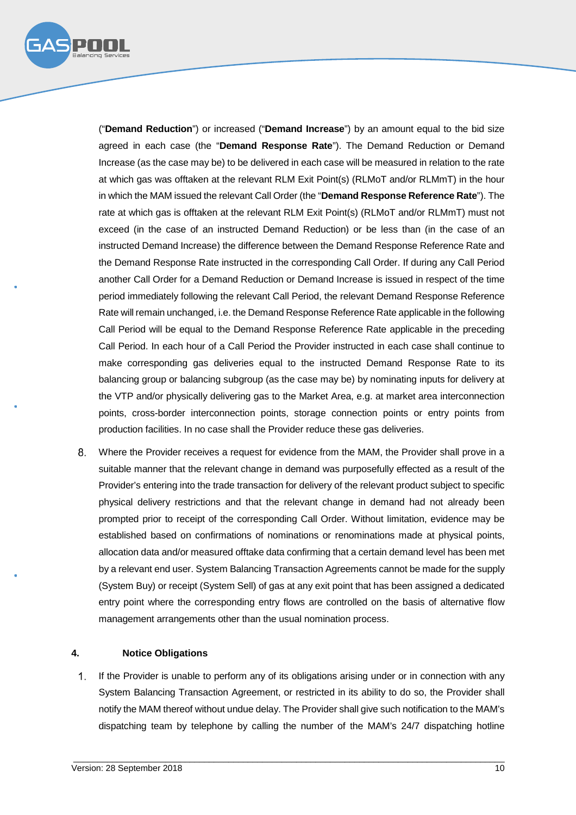

("**Demand Reduction**") or increased ("**Demand Increase**") by an amount equal to the bid size agreed in each case (the "**Demand Response Rate**"). The Demand Reduction or Demand Increase (as the case may be) to be delivered in each case will be measured in relation to the rate at which gas was offtaken at the relevant RLM Exit Point(s) (RLMoT and/or RLMmT) in the hour in which the MAM issued the relevant Call Order (the "**Demand Response Reference Rate**"). The rate at which gas is offtaken at the relevant RLM Exit Point(s) (RLMoT and/or RLMmT) must not exceed (in the case of an instructed Demand Reduction) or be less than (in the case of an instructed Demand Increase) the difference between the Demand Response Reference Rate and the Demand Response Rate instructed in the corresponding Call Order. If during any Call Period another Call Order for a Demand Reduction or Demand Increase is issued in respect of the time period immediately following the relevant Call Period, the relevant Demand Response Reference Rate will remain unchanged, i.e. the Demand Response Reference Rate applicable in the following Call Period will be equal to the Demand Response Reference Rate applicable in the preceding Call Period. In each hour of a Call Period the Provider instructed in each case shall continue to make corresponding gas deliveries equal to the instructed Demand Response Rate to its balancing group or balancing subgroup (as the case may be) by nominating inputs for delivery at the VTP and/or physically delivering gas to the Market Area, e.g. at market area interconnection points, cross-border interconnection points, storage connection points or entry points from production facilities. In no case shall the Provider reduce these gas deliveries.

Where the Provider receives a request for evidence from the MAM, the Provider shall prove in a suitable manner that the relevant change in demand was purposefully effected as a result of the Provider's entering into the trade transaction for delivery of the relevant product subject to specific physical delivery restrictions and that the relevant change in demand had not already been prompted prior to receipt of the corresponding Call Order. Without limitation, evidence may be established based on confirmations of nominations or renominations made at physical points, allocation data and/or measured offtake data confirming that a certain demand level has been met by a relevant end user. System Balancing Transaction Agreements cannot be made for the supply (System Buy) or receipt (System Sell) of gas at any exit point that has been assigned a dedicated entry point where the corresponding entry flows are controlled on the basis of alternative flow management arrangements other than the usual nomination process.

#### **4. Notice Obligations**

If the Provider is unable to perform any of its obligations arising under or in connection with any  $1<sup>1</sup>$ System Balancing Transaction Agreement, or restricted in its ability to do so, the Provider shall notify the MAM thereof without undue delay. The Provider shall give such notification to the MAM's dispatching team by telephone by calling the number of the MAM's 24/7 dispatching hotline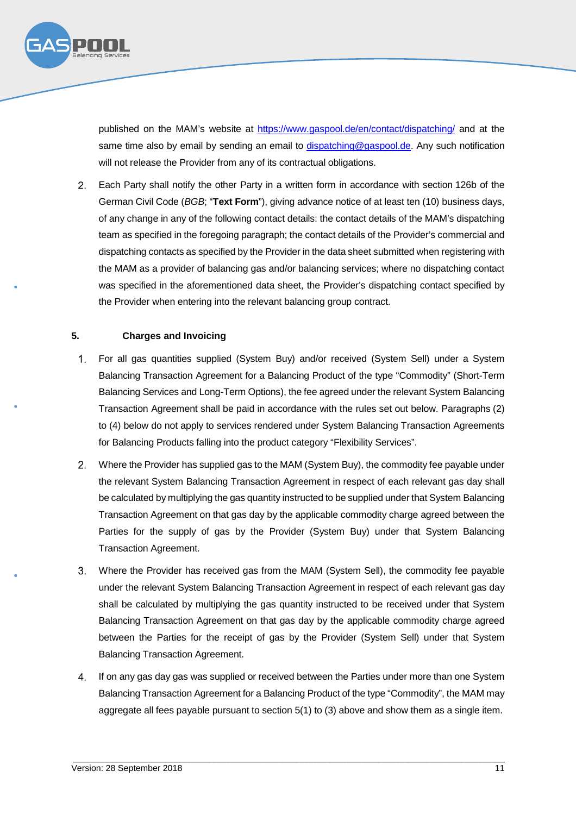

published on the MAM's website at https://www.gaspool.de/en/contact/dispatching/ and at the same time also by email by sending an email to dispatching@gaspool.de. Any such notification will not release the Provider from any of its contractual obligations.

Each Party shall notify the other Party in a written form in accordance with section 126b of the German Civil Code (*BGB*; "**Text Form**"), giving advance notice of at least ten (10) business days, of any change in any of the following contact details: the contact details of the MAM's dispatching team as specified in the foregoing paragraph; the contact details of the Provider's commercial and dispatching contacts as specified by the Provider in the data sheet submitted when registering with the MAM as a provider of balancing gas and/or balancing services; where no dispatching contact was specified in the aforementioned data sheet, the Provider's dispatching contact specified by the Provider when entering into the relevant balancing group contract.

#### **5. Charges and Invoicing**

- $1<sub>1</sub>$ For all gas quantities supplied (System Buy) and/or received (System Sell) under a System Balancing Transaction Agreement for a Balancing Product of the type "Commodity" (Short-Term Balancing Services and Long-Term Options), the fee agreed under the relevant System Balancing Transaction Agreement shall be paid in accordance with the rules set out below. Paragraphs (2) to (4) below do not apply to services rendered under System Balancing Transaction Agreements for Balancing Products falling into the product category "Flexibility Services".
- Where the Provider has supplied gas to the MAM (System Buy), the commodity fee payable under the relevant System Balancing Transaction Agreement in respect of each relevant gas day shall be calculated by multiplying the gas quantity instructed to be supplied under that System Balancing Transaction Agreement on that gas day by the applicable commodity charge agreed between the Parties for the supply of gas by the Provider (System Buy) under that System Balancing Transaction Agreement.
- Where the Provider has received gas from the MAM (System Sell), the commodity fee payable under the relevant System Balancing Transaction Agreement in respect of each relevant gas day shall be calculated by multiplying the gas quantity instructed to be received under that System Balancing Transaction Agreement on that gas day by the applicable commodity charge agreed between the Parties for the receipt of gas by the Provider (System Sell) under that System Balancing Transaction Agreement.
- If on any gas day gas was supplied or received between the Parties under more than one System Balancing Transaction Agreement for a Balancing Product of the type "Commodity", the MAM may aggregate all fees payable pursuant to section 5(1) to (3) above and show them as a single item.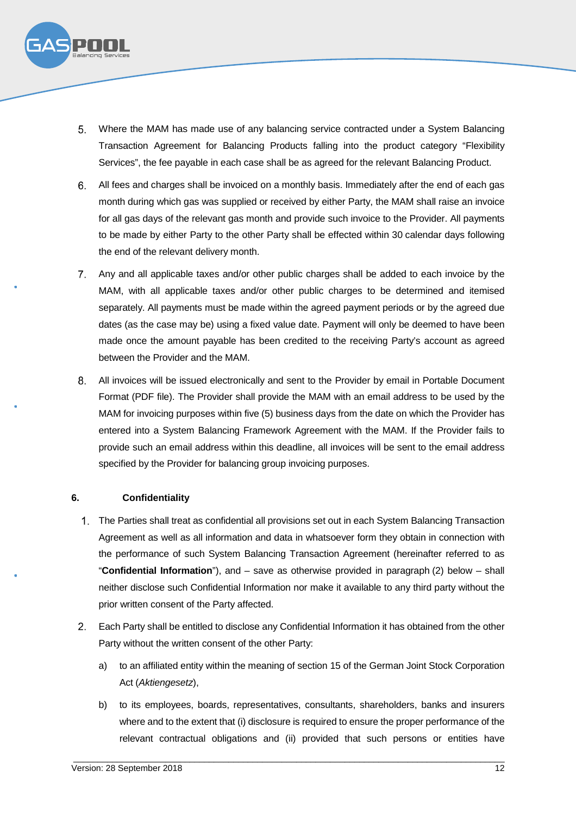

- Where the MAM has made use of any balancing service contracted under a System Balancing Transaction Agreement for Balancing Products falling into the product category "Flexibility Services", the fee payable in each case shall be as agreed for the relevant Balancing Product.
- All fees and charges shall be invoiced on a monthly basis. Immediately after the end of each gas month during which gas was supplied or received by either Party, the MAM shall raise an invoice for all gas days of the relevant gas month and provide such invoice to the Provider. All payments to be made by either Party to the other Party shall be effected within 30 calendar days following the end of the relevant delivery month.
- Any and all applicable taxes and/or other public charges shall be added to each invoice by the MAM, with all applicable taxes and/or other public charges to be determined and itemised separately. All payments must be made within the agreed payment periods or by the agreed due dates (as the case may be) using a fixed value date. Payment will only be deemed to have been made once the amount payable has been credited to the receiving Party's account as agreed between the Provider and the MAM.
- All invoices will be issued electronically and sent to the Provider by email in Portable Document Format (PDF file). The Provider shall provide the MAM with an email address to be used by the MAM for invoicing purposes within five (5) business days from the date on which the Provider has entered into a System Balancing Framework Agreement with the MAM. If the Provider fails to provide such an email address within this deadline, all invoices will be sent to the email address specified by the Provider for balancing group invoicing purposes.

#### **6. Confidentiality**

- The Parties shall treat as confidential all provisions set out in each System Balancing Transaction Agreement as well as all information and data in whatsoever form they obtain in connection with the performance of such System Balancing Transaction Agreement (hereinafter referred to as "**Confidential Information**"), and – save as otherwise provided in paragraph (2) below – shall neither disclose such Confidential Information nor make it available to any third party without the prior written consent of the Party affected.
- Each Party shall be entitled to disclose any Confidential Information it has obtained from the other Party without the written consent of the other Party:
	- a) to an affiliated entity within the meaning of section 15 of the German Joint Stock Corporation Act (*Aktiengesetz*),
	- b) to its employees, boards, representatives, consultants, shareholders, banks and insurers where and to the extent that (i) disclosure is required to ensure the proper performance of the relevant contractual obligations and (ii) provided that such persons or entities have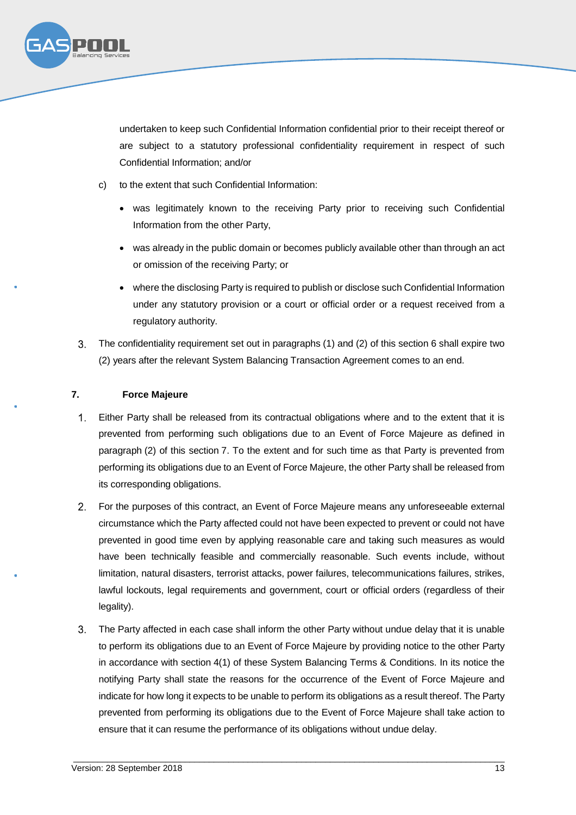

undertaken to keep such Confidential Information confidential prior to their receipt thereof or are subject to a statutory professional confidentiality requirement in respect of such Confidential Information; and/or

- c) to the extent that such Confidential Information:
	- was legitimately known to the receiving Party prior to receiving such Confidential Information from the other Party,
	- was already in the public domain or becomes publicly available other than through an act or omission of the receiving Party; or
	- where the disclosing Party is required to publish or disclose such Confidential Information under any statutory provision or a court or official order or a request received from a regulatory authority.
- The confidentiality requirement set out in paragraphs (1) and (2) of this section 6 shall expire two  $3<sub>1</sub>$ (2) years after the relevant System Balancing Transaction Agreement comes to an end.

# **7. Force Majeure**

- $1.$ Either Party shall be released from its contractual obligations where and to the extent that it is prevented from performing such obligations due to an Event of Force Majeure as defined in paragraph (2) of this section 7. To the extent and for such time as that Party is prevented from performing its obligations due to an Event of Force Majeure, the other Party shall be released from its corresponding obligations.
- For the purposes of this contract, an Event of Force Majeure means any unforeseeable external circumstance which the Party affected could not have been expected to prevent or could not have prevented in good time even by applying reasonable care and taking such measures as would have been technically feasible and commercially reasonable. Such events include, without limitation, natural disasters, terrorist attacks, power failures, telecommunications failures, strikes, lawful lockouts, legal requirements and government, court or official orders (regardless of their legality).
- The Party affected in each case shall inform the other Party without undue delay that it is unable to perform its obligations due to an Event of Force Majeure by providing notice to the other Party in accordance with section 4(1) of these System Balancing Terms & Conditions. In its notice the notifying Party shall state the reasons for the occurrence of the Event of Force Majeure and indicate for how long it expects to be unable to perform its obligations as a result thereof. The Party prevented from performing its obligations due to the Event of Force Majeure shall take action to ensure that it can resume the performance of its obligations without undue delay.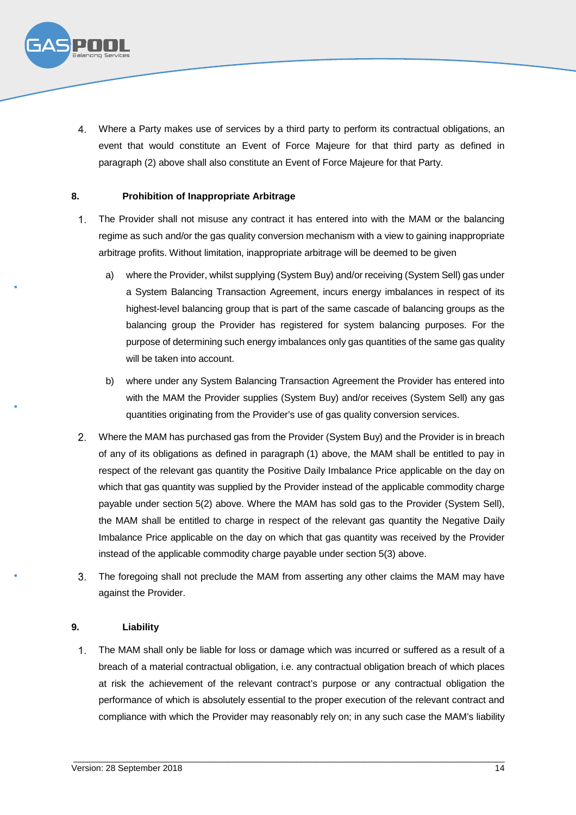

Where a Party makes use of services by a third party to perform its contractual obligations, an event that would constitute an Event of Force Majeure for that third party as defined in paragraph (2) above shall also constitute an Event of Force Majeure for that Party.

#### **8. Prohibition of Inappropriate Arbitrage**

- $1<sub>1</sub>$ The Provider shall not misuse any contract it has entered into with the MAM or the balancing regime as such and/or the gas quality conversion mechanism with a view to gaining inappropriate arbitrage profits. Without limitation, inappropriate arbitrage will be deemed to be given
	- a) where the Provider, whilst supplying (System Buy) and/or receiving (System Sell) gas under a System Balancing Transaction Agreement, incurs energy imbalances in respect of its highest-level balancing group that is part of the same cascade of balancing groups as the balancing group the Provider has registered for system balancing purposes. For the purpose of determining such energy imbalances only gas quantities of the same gas quality will be taken into account.
	- b) where under any System Balancing Transaction Agreement the Provider has entered into with the MAM the Provider supplies (System Buy) and/or receives (System Sell) any gas quantities originating from the Provider's use of gas quality conversion services.
- Where the MAM has purchased gas from the Provider (System Buy) and the Provider is in breach of any of its obligations as defined in paragraph (1) above, the MAM shall be entitled to pay in respect of the relevant gas quantity the Positive Daily Imbalance Price applicable on the day on which that gas quantity was supplied by the Provider instead of the applicable commodity charge payable under section 5(2) above. Where the MAM has sold gas to the Provider (System Sell), the MAM shall be entitled to charge in respect of the relevant gas quantity the Negative Daily Imbalance Price applicable on the day on which that gas quantity was received by the Provider instead of the applicable commodity charge payable under section 5(3) above.
- The foregoing shall not preclude the MAM from asserting any other claims the MAM may have  $3<sub>l</sub>$ against the Provider.

#### **9. Liability**

 $1.$ The MAM shall only be liable for loss or damage which was incurred or suffered as a result of a breach of a material contractual obligation, i.e. any contractual obligation breach of which places at risk the achievement of the relevant contract's purpose or any contractual obligation the performance of which is absolutely essential to the proper execution of the relevant contract and compliance with which the Provider may reasonably rely on; in any such case the MAM's liability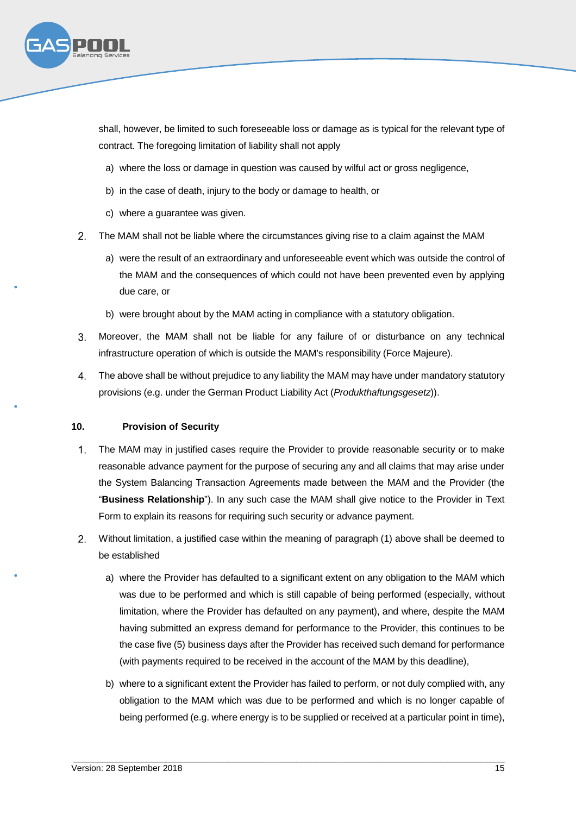

shall, however, be limited to such foreseeable loss or damage as is typical for the relevant type of contract. The foregoing limitation of liability shall not apply

- a) where the loss or damage in question was caused by wilful act or gross negligence,
- b) in the case of death, injury to the body or damage to health, or
- c) where a guarantee was given.
- The MAM shall not be liable where the circumstances giving rise to a claim against the MAM
	- a) were the result of an extraordinary and unforeseeable event which was outside the control of the MAM and the consequences of which could not have been prevented even by applying due care, or
	- b) were brought about by the MAM acting in compliance with a statutory obligation.
- $3<sub>l</sub>$ Moreover, the MAM shall not be liable for any failure of or disturbance on any technical infrastructure operation of which is outside the MAM's responsibility (Force Majeure).
- The above shall be without prejudice to any liability the MAM may have under mandatory statutory provisions (e.g. under the German Product Liability Act (*Produkthaftungsgesetz*)).

#### **10. Provision of Security**

- $1<sub>1</sub>$ The MAM may in justified cases require the Provider to provide reasonable security or to make reasonable advance payment for the purpose of securing any and all claims that may arise under the System Balancing Transaction Agreements made between the MAM and the Provider (the "**Business Relationship**"). In any such case the MAM shall give notice to the Provider in Text Form to explain its reasons for requiring such security or advance payment.
- Without limitation, a justified case within the meaning of paragraph (1) above shall be deemed to be established
	- a) where the Provider has defaulted to a significant extent on any obligation to the MAM which was due to be performed and which is still capable of being performed (especially, without limitation, where the Provider has defaulted on any payment), and where, despite the MAM having submitted an express demand for performance to the Provider, this continues to be the case five (5) business days after the Provider has received such demand for performance (with payments required to be received in the account of the MAM by this deadline),
	- b) where to a significant extent the Provider has failed to perform, or not duly complied with, any obligation to the MAM which was due to be performed and which is no longer capable of being performed (e.g. where energy is to be supplied or received at a particular point in time),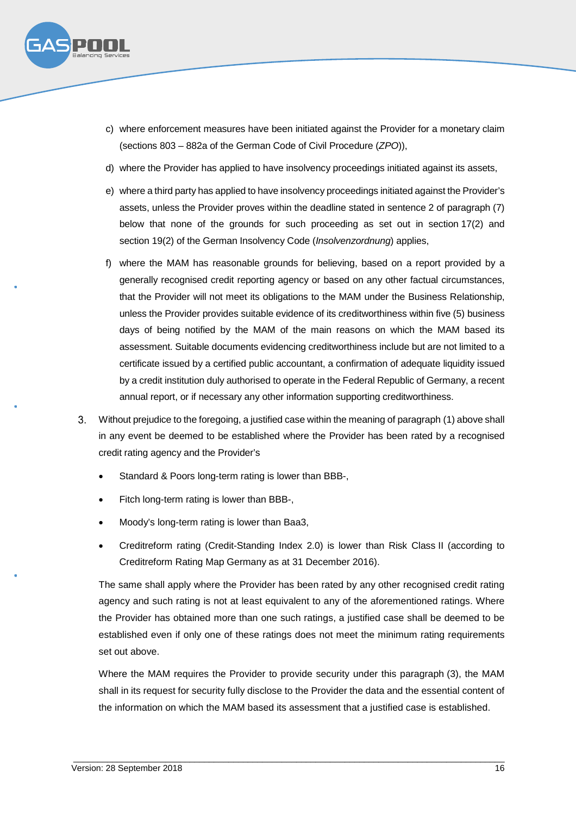

- c) where enforcement measures have been initiated against the Provider for a monetary claim (sections 803 – 882a of the German Code of Civil Procedure (*ZPO*)),
- d) where the Provider has applied to have insolvency proceedings initiated against its assets,
- e) where a third party has applied to have insolvency proceedings initiated against the Provider's assets, unless the Provider proves within the deadline stated in sentence 2 of paragraph (7) below that none of the grounds for such proceeding as set out in section 17(2) and section 19(2) of the German Insolvency Code (*Insolvenzordnung*) applies,
- f) where the MAM has reasonable grounds for believing, based on a report provided by a generally recognised credit reporting agency or based on any other factual circumstances, that the Provider will not meet its obligations to the MAM under the Business Relationship, unless the Provider provides suitable evidence of its creditworthiness within five (5) business days of being notified by the MAM of the main reasons on which the MAM based its assessment. Suitable documents evidencing creditworthiness include but are not limited to a certificate issued by a certified public accountant, a confirmation of adequate liquidity issued by a credit institution duly authorised to operate in the Federal Republic of Germany, a recent annual report, or if necessary any other information supporting creditworthiness.
- Without prejudice to the foregoing, a justified case within the meaning of paragraph (1) above shall in any event be deemed to be established where the Provider has been rated by a recognised credit rating agency and the Provider's
	- Standard & Poors long-term rating is lower than BBB-,
	- Fitch long-term rating is lower than BBB-,
	- Moody's long-term rating is lower than Baa3,
	- Creditreform rating (Credit-Standing Index 2.0) is lower than Risk Class II (according to Creditreform Rating Map Germany as at 31 December 2016).

The same shall apply where the Provider has been rated by any other recognised credit rating agency and such rating is not at least equivalent to any of the aforementioned ratings. Where the Provider has obtained more than one such ratings, a justified case shall be deemed to be established even if only one of these ratings does not meet the minimum rating requirements set out above.

Where the MAM requires the Provider to provide security under this paragraph (3), the MAM shall in its request for security fully disclose to the Provider the data and the essential content of the information on which the MAM based its assessment that a justified case is established.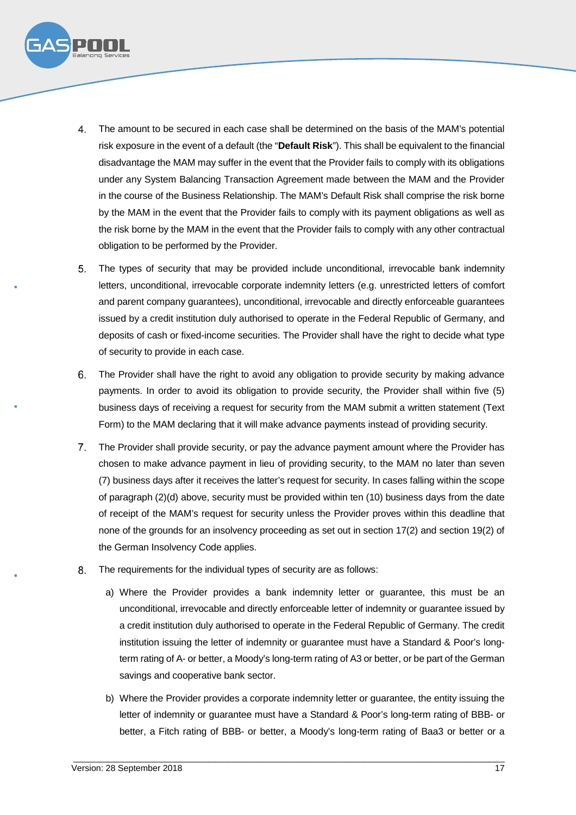

- The amount to be secured in each case shall be determined on the basis of the MAM's potential risk exposure in the event of a default (the "**Default Risk**"). This shall be equivalent to the financial disadvantage the MAM may suffer in the event that the Provider fails to comply with its obligations under any System Balancing Transaction Agreement made between the MAM and the Provider in the course of the Business Relationship. The MAM's Default Risk shall comprise the risk borne by the MAM in the event that the Provider fails to comply with its payment obligations as well as the risk borne by the MAM in the event that the Provider fails to comply with any other contractual obligation to be performed by the Provider.
- The types of security that may be provided include unconditional, irrevocable bank indemnity letters, unconditional, irrevocable corporate indemnity letters (e.g. unrestricted letters of comfort and parent company guarantees), unconditional, irrevocable and directly enforceable guarantees issued by a credit institution duly authorised to operate in the Federal Republic of Germany, and deposits of cash or fixed-income securities. The Provider shall have the right to decide what type of security to provide in each case.
- The Provider shall have the right to avoid any obligation to provide security by making advance payments. In order to avoid its obligation to provide security, the Provider shall within five (5) business days of receiving a request for security from the MAM submit a written statement (Text Form) to the MAM declaring that it will make advance payments instead of providing security.
- The Provider shall provide security, or pay the advance payment amount where the Provider has chosen to make advance payment in lieu of providing security, to the MAM no later than seven (7) business days after it receives the latter's request for security. In cases falling within the scope of paragraph (2)(d) above, security must be provided within ten (10) business days from the date of receipt of the MAM's request for security unless the Provider proves within this deadline that none of the grounds for an insolvency proceeding as set out in section 17(2) and section 19(2) of the German Insolvency Code applies.
- 8. The requirements for the individual types of security are as follows:
	- a) Where the Provider provides a bank indemnity letter or guarantee, this must be an unconditional, irrevocable and directly enforceable letter of indemnity or guarantee issued by a credit institution duly authorised to operate in the Federal Republic of Germany. The credit institution issuing the letter of indemnity or guarantee must have a Standard & Poor's longterm rating of A- or better, a Moody's long-term rating of A3 or better, or be part of the German savings and cooperative bank sector.
	- b) Where the Provider provides a corporate indemnity letter or guarantee, the entity issuing the letter of indemnity or guarantee must have a Standard & Poor's long-term rating of BBB- or better, a Fitch rating of BBB- or better, a Moody's long-term rating of Baa3 or better or a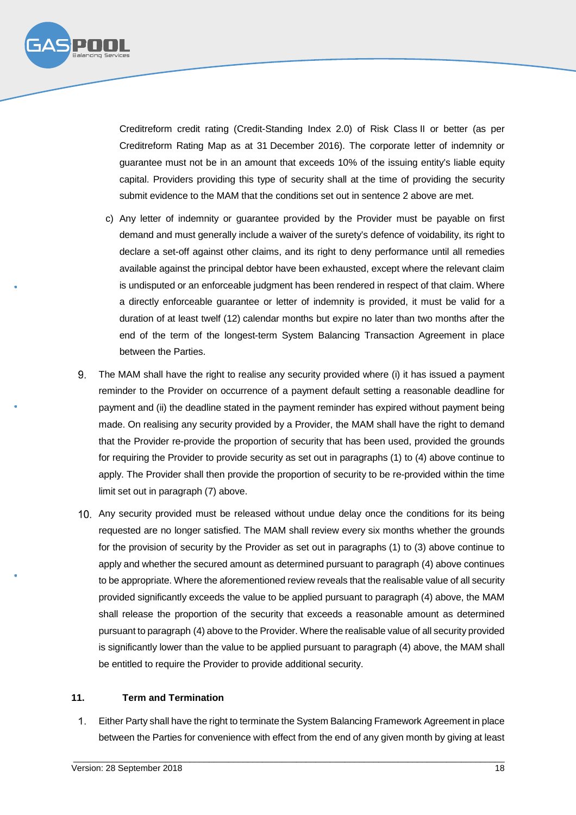

Creditreform credit rating (Credit-Standing Index 2.0) of Risk Class II or better (as per Creditreform Rating Map as at 31 December 2016). The corporate letter of indemnity or guarantee must not be in an amount that exceeds 10% of the issuing entity's liable equity capital. Providers providing this type of security shall at the time of providing the security submit evidence to the MAM that the conditions set out in sentence 2 above are met.

- c) Any letter of indemnity or guarantee provided by the Provider must be payable on first demand and must generally include a waiver of the surety's defence of voidability, its right to declare a set-off against other claims, and its right to deny performance until all remedies available against the principal debtor have been exhausted, except where the relevant claim is undisputed or an enforceable judgment has been rendered in respect of that claim. Where a directly enforceable guarantee or letter of indemnity is provided, it must be valid for a duration of at least twelf (12) calendar months but expire no later than two months after the end of the term of the longest-term System Balancing Transaction Agreement in place between the Parties.
- The MAM shall have the right to realise any security provided where (i) it has issued a payment reminder to the Provider on occurrence of a payment default setting a reasonable deadline for payment and (ii) the deadline stated in the payment reminder has expired without payment being made. On realising any security provided by a Provider, the MAM shall have the right to demand that the Provider re-provide the proportion of security that has been used, provided the grounds for requiring the Provider to provide security as set out in paragraphs (1) to (4) above continue to apply. The Provider shall then provide the proportion of security to be re-provided within the time limit set out in paragraph (7) above.
- Any security provided must be released without undue delay once the conditions for its being requested are no longer satisfied. The MAM shall review every six months whether the grounds for the provision of security by the Provider as set out in paragraphs (1) to (3) above continue to apply and whether the secured amount as determined pursuant to paragraph (4) above continues to be appropriate. Where the aforementioned review reveals that the realisable value of all security provided significantly exceeds the value to be applied pursuant to paragraph (4) above, the MAM shall release the proportion of the security that exceeds a reasonable amount as determined pursuant to paragraph (4) above to the Provider. Where the realisable value of all security provided is significantly lower than the value to be applied pursuant to paragraph (4) above, the MAM shall be entitled to require the Provider to provide additional security.

#### **11. Term and Termination**

Either Party shall have the right to terminate the System Balancing Framework Agreement in place  $1.$ between the Parties for convenience with effect from the end of any given month by giving at least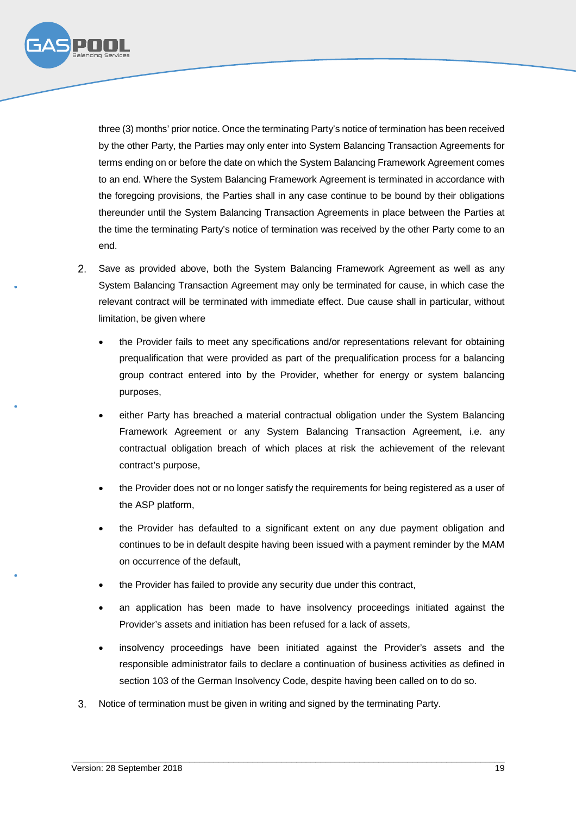

three (3) months' prior notice. Once the terminating Party's notice of termination has been received by the other Party, the Parties may only enter into System Balancing Transaction Agreements for terms ending on or before the date on which the System Balancing Framework Agreement comes to an end. Where the System Balancing Framework Agreement is terminated in accordance with the foregoing provisions, the Parties shall in any case continue to be bound by their obligations thereunder until the System Balancing Transaction Agreements in place between the Parties at the time the terminating Party's notice of termination was received by the other Party come to an end.

- 2. Save as provided above, both the System Balancing Framework Agreement as well as any System Balancing Transaction Agreement may only be terminated for cause, in which case the relevant contract will be terminated with immediate effect. Due cause shall in particular, without limitation, be given where
	- the Provider fails to meet any specifications and/or representations relevant for obtaining prequalification that were provided as part of the prequalification process for a balancing group contract entered into by the Provider, whether for energy or system balancing purposes,
	- either Party has breached a material contractual obligation under the System Balancing Framework Agreement or any System Balancing Transaction Agreement, i.e. any contractual obligation breach of which places at risk the achievement of the relevant contract's purpose,
	- the Provider does not or no longer satisfy the requirements for being registered as a user of the ASP platform,
	- the Provider has defaulted to a significant extent on any due payment obligation and continues to be in default despite having been issued with a payment reminder by the MAM on occurrence of the default,
	- the Provider has failed to provide any security due under this contract,
	- an application has been made to have insolvency proceedings initiated against the Provider's assets and initiation has been refused for a lack of assets,
	- insolvency proceedings have been initiated against the Provider's assets and the responsible administrator fails to declare a continuation of business activities as defined in section 103 of the German Insolvency Code, despite having been called on to do so.
- $3<sub>1</sub>$ Notice of termination must be given in writing and signed by the terminating Party.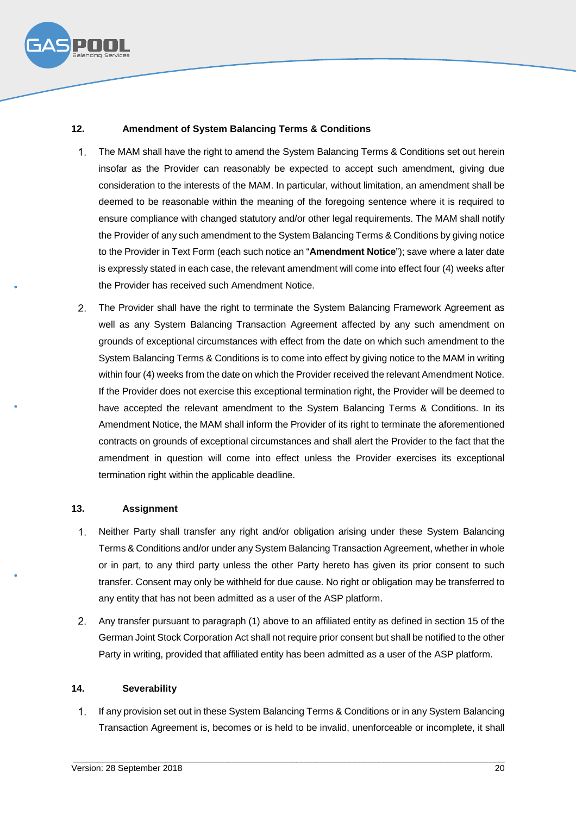

# **12. Amendment of System Balancing Terms & Conditions**

- $1<sub>1</sub>$ The MAM shall have the right to amend the System Balancing Terms & Conditions set out herein insofar as the Provider can reasonably be expected to accept such amendment, giving due consideration to the interests of the MAM. In particular, without limitation, an amendment shall be deemed to be reasonable within the meaning of the foregoing sentence where it is required to ensure compliance with changed statutory and/or other legal requirements. The MAM shall notify the Provider of any such amendment to the System Balancing Terms & Conditions by giving notice to the Provider in Text Form (each such notice an "**Amendment Notice**"); save where a later date is expressly stated in each case, the relevant amendment will come into effect four (4) weeks after the Provider has received such Amendment Notice.
- $2<sub>1</sub>$ The Provider shall have the right to terminate the System Balancing Framework Agreement as well as any System Balancing Transaction Agreement affected by any such amendment on grounds of exceptional circumstances with effect from the date on which such amendment to the System Balancing Terms & Conditions is to come into effect by giving notice to the MAM in writing within four (4) weeks from the date on which the Provider received the relevant Amendment Notice. If the Provider does not exercise this exceptional termination right, the Provider will be deemed to have accepted the relevant amendment to the System Balancing Terms & Conditions. In its Amendment Notice, the MAM shall inform the Provider of its right to terminate the aforementioned contracts on grounds of exceptional circumstances and shall alert the Provider to the fact that the amendment in question will come into effect unless the Provider exercises its exceptional termination right within the applicable deadline.

#### **13. Assignment**

- $1.$ Neither Party shall transfer any right and/or obligation arising under these System Balancing Terms & Conditions and/or under any System Balancing Transaction Agreement, whether in whole or in part, to any third party unless the other Party hereto has given its prior consent to such transfer. Consent may only be withheld for due cause. No right or obligation may be transferred to any entity that has not been admitted as a user of the ASP platform.
- $2<sup>1</sup>$ Any transfer pursuant to paragraph (1) above to an affiliated entity as defined in section 15 of the German Joint Stock Corporation Act shall not require prior consent but shall be notified to the other Party in writing, provided that affiliated entity has been admitted as a user of the ASP platform.

#### **14. Severability**

 $1.$ If any provision set out in these System Balancing Terms & Conditions or in any System Balancing Transaction Agreement is, becomes or is held to be invalid, unenforceable or incomplete, it shall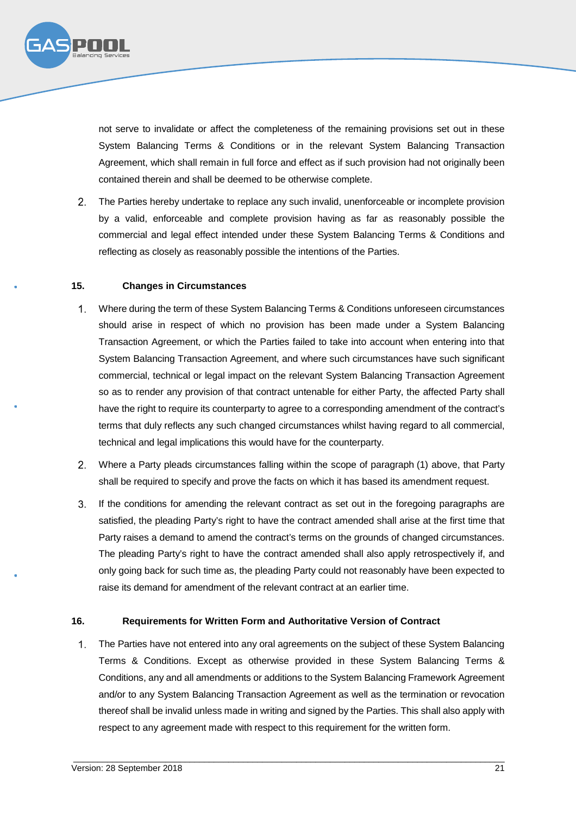

not serve to invalidate or affect the completeness of the remaining provisions set out in these System Balancing Terms & Conditions or in the relevant System Balancing Transaction Agreement, which shall remain in full force and effect as if such provision had not originally been contained therein and shall be deemed to be otherwise complete.

The Parties hereby undertake to replace any such invalid, unenforceable or incomplete provision by a valid, enforceable and complete provision having as far as reasonably possible the commercial and legal effect intended under these System Balancing Terms & Conditions and reflecting as closely as reasonably possible the intentions of the Parties.

#### **15. Changes in Circumstances**

- $1<sup>1</sup>$ Where during the term of these System Balancing Terms & Conditions unforeseen circumstances should arise in respect of which no provision has been made under a System Balancing Transaction Agreement, or which the Parties failed to take into account when entering into that System Balancing Transaction Agreement, and where such circumstances have such significant commercial, technical or legal impact on the relevant System Balancing Transaction Agreement so as to render any provision of that contract untenable for either Party, the affected Party shall have the right to require its counterparty to agree to a corresponding amendment of the contract's terms that duly reflects any such changed circumstances whilst having regard to all commercial, technical and legal implications this would have for the counterparty.
- Where a Party pleads circumstances falling within the scope of paragraph (1) above, that Party shall be required to specify and prove the facts on which it has based its amendment request.
- $3.$ If the conditions for amending the relevant contract as set out in the foregoing paragraphs are satisfied, the pleading Party's right to have the contract amended shall arise at the first time that Party raises a demand to amend the contract's terms on the grounds of changed circumstances. The pleading Party's right to have the contract amended shall also apply retrospectively if, and only going back for such time as, the pleading Party could not reasonably have been expected to raise its demand for amendment of the relevant contract at an earlier time.

#### **16. Requirements for Written Form and Authoritative Version of Contract**

 $1<sub>1</sub>$ The Parties have not entered into any oral agreements on the subject of these System Balancing Terms & Conditions. Except as otherwise provided in these System Balancing Terms & Conditions, any and all amendments or additions to the System Balancing Framework Agreement and/or to any System Balancing Transaction Agreement as well as the termination or revocation thereof shall be invalid unless made in writing and signed by the Parties. This shall also apply with respect to any agreement made with respect to this requirement for the written form.